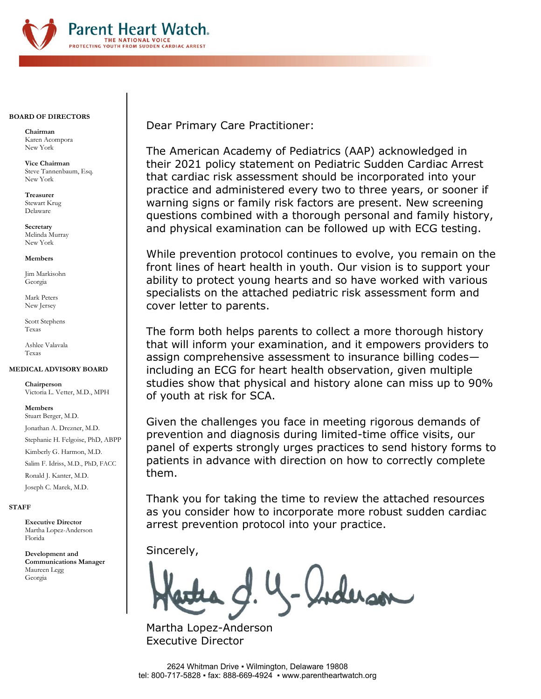

#### **BOARD OF DIRECTORS**

**Chairman**  Karen Acompora New York

**Vice Chairman** Steve Tannenbaum, Esq. New York

**Treasurer** Stewart Krug Delaware

**Secretary** Melinda Murray New York

#### **Members**

Jim Markisohn Georgia

Mark Peters New Jersey

Scott Stephens Texas

Ashlee Valavala Texas

#### **MEDICAL ADVISORY BOARD**

**Chairperson** Victoria L. Vetter, M.D., MPH

## **Members**

Stuart Berger, M.D. Jonathan A. Drezner, M.D. Stephanie H. Felgoise, PhD, ABPP

Kimberly G. Harmon, M.D.

Salim F. Idriss, M.D., PhD, FACC

Ronald J. Kanter, M.D.

Joseph C. Marek, M.D.

#### **STAFF**

**Executive Director** Martha Lopez-Anderson Florida

**Development and Communications Manager** Maureen Legg Georgia

Dear Primary Care Practitioner:

The American Academy of Pediatrics (AAP) acknowledged in their 2021 policy statement on Pediatric Sudden Cardiac Arrest that cardiac risk assessment should be incorporated into your practice and administered every two to three years, or sooner if warning signs or family risk factors are present. New screening questions combined with a thorough personal and family history, and physical examination can be followed up with ECG testing.

While prevention protocol continues to evolve, you remain on the front lines of heart health in youth. Our vision is to support your ability to protect young hearts and so have worked with various specialists on the attached pediatric risk assessment form and cover letter to parents.

The form both helps parents to collect a more thorough history that will inform your examination, and it empowers providers to assign comprehensive assessment to insurance billing codes including an ECG for heart health observation, given multiple studies show that physical and history alone can miss up to 90% of youth at risk for SCA.

Given the challenges you face in meeting rigorous demands of prevention and diagnosis during limited-time office visits, our panel of experts strongly urges practices to send history forms to patients in advance with direction on how to correctly complete them.

Thank you for taking the time to review the attached resources as you consider how to incorporate more robust sudden cardiac arrest prevention protocol into your practice.

Sincerely,

Martha Lopez-Anderson Executive Director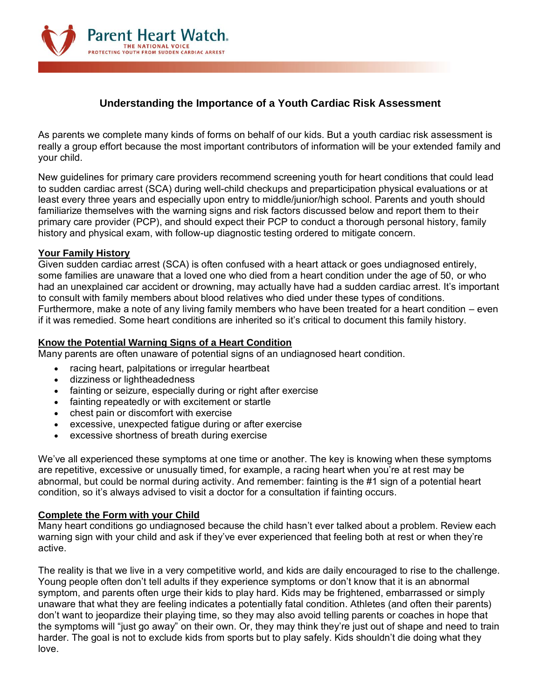

# **Understanding the Importance of a Youth Cardiac Risk Assessment**

As parents we complete many kinds of forms on behalf of our kids. But a youth cardiac risk assessment is really a group effort because the most important contributors of information will be your extended family and your child.

New guidelines for primary care providers recommend screening youth for heart conditions that could lead to sudden cardiac arrest (SCA) during well-child checkups and preparticipation physical evaluations or at least every three years and especially upon entry to middle/junior/high school. Parents and youth should familiarize themselves with the warning signs and risk factors discussed below and report them to their primary care provider (PCP), and should expect their PCP to conduct a thorough personal history, family history and physical exam, with follow-up diagnostic testing ordered to mitigate concern.

#### **Your Family History**

Given sudden cardiac arrest (SCA) is often confused with a heart attack or goes undiagnosed entirely, some families are unaware that a loved one who died from a heart condition under the age of 50, or who had an unexplained car accident or drowning, may actually have had a sudden cardiac arrest. It's important to consult with family members about blood relatives who died under these types of conditions. Furthermore, make a note of any living family members who have been treated for a heart condition – even if it was remedied. Some heart conditions are inherited so it's critical to document this family history.

## **Know the Potential Warning Signs of a Heart Condition**

Many parents are often unaware of potential signs of an undiagnosed heart condition.

- racing heart, palpitations or irregular heartbeat
- dizziness or lightheadedness
- fainting or seizure, especially during or right after exercise
- fainting repeatedly or with excitement or startle
- chest pain or discomfort with exercise
- excessive, unexpected fatigue during or after exercise
- excessive shortness of breath during exercise

We've all experienced these symptoms at one time or another. The key is knowing when these symptoms are repetitive, excessive or unusually timed, for example, a racing heart when you're at rest may be abnormal, but could be normal during activity. And remember: fainting is the #1 sign of a potential heart condition, so it's always advised to visit a doctor for a consultation if fainting occurs.

#### **Complete the Form with your Child**

Many heart conditions go undiagnosed because the child hasn't ever talked about a problem. Review each warning sign with your child and ask if they've ever experienced that feeling both at rest or when they're active.

The reality is that we live in a very competitive world, and kids are daily encouraged to rise to the challenge. Young people often don't tell adults if they experience symptoms or don't know that it is an abnormal symptom, and parents often urge their kids to play hard. Kids may be frightened, embarrassed or simply unaware that what they are feeling indicates a potentially fatal condition. Athletes (and often their parents) don't want to jeopardize their playing time, so they may also avoid telling parents or coaches in hope that the symptoms will "just go away" on their own. Or, they may think they're just out of shape and need to train harder. The goal is not to exclude kids from sports but to play safely. Kids shouldn't die doing what they love.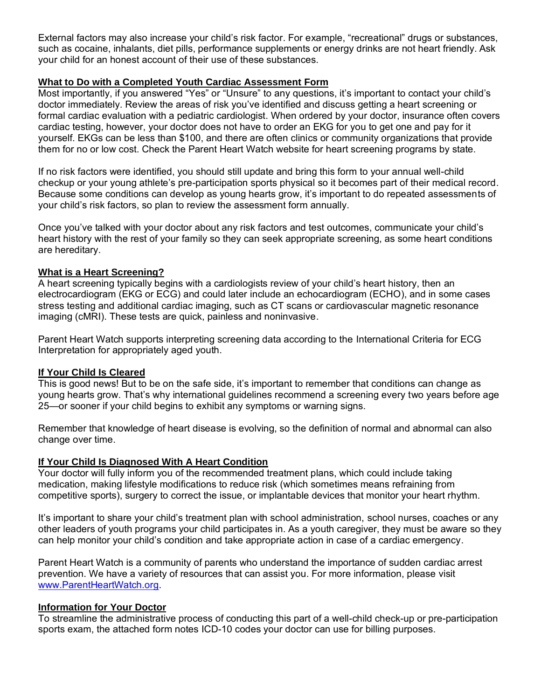External factors may also increase your child's risk factor. For example, "recreational" drugs or substances, such as cocaine, inhalants, diet pills, performance supplements or energy drinks are not heart friendly. Ask your child for an honest account of their use of these substances.

## **What to Do with a Completed Youth Cardiac Assessment Form**

Most importantly, if you answered "Yes" or "Unsure" to any questions, it's important to contact your child's doctor immediately. Review the areas of risk you've identified and discuss getting a heart screening or formal cardiac evaluation with a pediatric cardiologist. When ordered by your doctor, insurance often covers cardiac testing, however, your doctor does not have to order an EKG for you to get one and pay for it yourself. EKGs can be less than \$100, and there are often clinics or community organizations that provide them for no or low cost. Check the Parent Heart Watch website for heart screening programs by state.

If no risk factors were identified, you should still update and bring this form to your annual well-child checkup or your young athlete's pre-participation sports physical so it becomes part of their medical record. Because some conditions can develop as young hearts grow, it's important to do repeated assessments of your child's risk factors, so plan to review the assessment form annually.

Once you've talked with your doctor about any risk factors and test outcomes, communicate your child's heart history with the rest of your family so they can seek appropriate screening, as some heart conditions are hereditary.

## **What is a Heart Screening?**

A heart screening typically begins with a cardiologists review of your child's heart history, then an electrocardiogram (EKG or ECG) and could later include an echocardiogram (ECHO), and in some cases stress testing and additional cardiac imaging, such as CT scans or cardiovascular magnetic resonance imaging (cMRI). These tests are quick, painless and noninvasive.

Parent Heart Watch supports interpreting screening data according to the International Criteria for ECG Interpretation for appropriately aged youth.

## **If Your Child Is Cleared**

This is good news! But to be on the safe side, it's important to remember that conditions can change as young hearts grow. That's why international guidelines recommend a screening every two years before age 25—or sooner if your child begins to exhibit any symptoms or warning signs.

Remember that knowledge of heart disease is evolving, so the definition of normal and abnormal can also change over time.

## **If Your Child Is Diagnosed With A Heart Condition**

Your doctor will fully inform you of the recommended treatment plans, which could include taking medication, making lifestyle modifications to reduce risk (which sometimes means refraining from competitive sports), surgery to correct the issue, or implantable devices that monitor your heart rhythm.

It's important to share your child's treatment plan with school administration, school nurses, coaches or any other leaders of youth programs your child participates in. As a youth caregiver, they must be aware so they can help monitor your child's condition and take appropriate action in case of a cardiac emergency.

Parent Heart Watch is a community of parents who understand the importance of sudden cardiac arrest prevention. We have a variety of resources that can assist you. For more information, please visit [www.ParentHeartWatch.org.](http://www.parentheartwatch.org/)

## **Information for Your Doctor**

To streamline the administrative process of conducting this part of a well-child check-up or pre-participation sports exam, the attached form notes ICD-10 codes your doctor can use for billing purposes.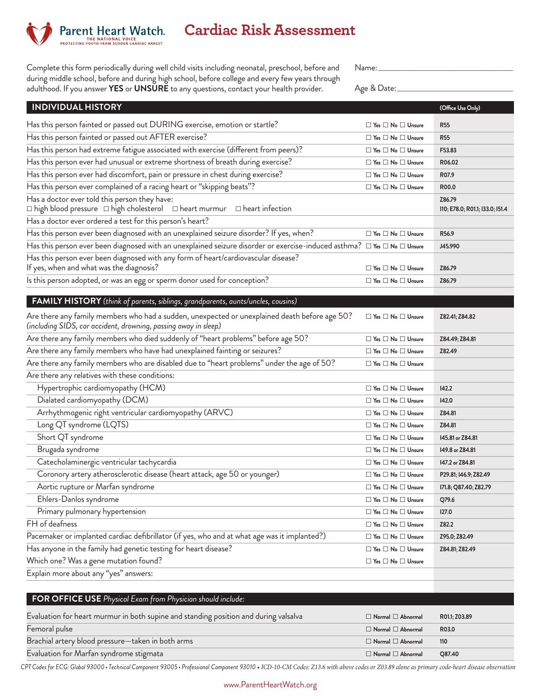

# **Cardiac Risk Assessment**

Complete this form periodically during well child visits including neonatal, preschool, before and during middle school, before and during high school, before college and every few years through adulthood. If you answer **YES** or **UNSURE** to any questions, contact your health provider.

 $Name:$ 

Age & Date:\_\_\_\_\_\_\_\_\_\_\_\_\_\_\_\_\_\_\_\_\_\_\_\_\_\_\_\_\_\_\_\_\_\_\_\_\_\_\_\_\_\_\_\_\_\_\_\_\_\_\_\_\_\_\_\_\_\_\_\_\_\_\_\_\_\_\_\_\_\_\_\_\_\_\_\_\_\_\_

| <b>INDIVIDUAL HISTORY</b>                                                                                                                                        |                                             | (Office Use Only)                         |
|------------------------------------------------------------------------------------------------------------------------------------------------------------------|---------------------------------------------|-------------------------------------------|
| Has this person fainted or passed out DURING exercise, emotion or startle?                                                                                       | $\Box$ Yes $\Box$ No $\Box$ Unsure          | <b>R55</b>                                |
| Has this person fainted or passed out AFTER exercise?                                                                                                            | $\Box$ Yes $\Box$ No $\Box$ Unsure          | <b>R55</b>                                |
| Has this person had extreme fatigue associated with exercise (different from peers)?                                                                             | $\Box$ Yes $\Box$ No $\Box$ Unsure          | F53.83                                    |
| Has this person ever had unusual or extreme shortness of breath during exercise?                                                                                 | $\Box$ Yes $\Box$ No $\Box$ Unsure          | R06.02                                    |
| Has this person ever had discomfort, pain or pressure in chest during exercise?                                                                                  | $\Box$ Yes $\Box$ No $\Box$ Unsure          | R07.9                                     |
| Has this person ever complained of a racing heart or "skipping beats"?                                                                                           | $\Box$ Yes $\Box$ No $\Box$ Unsure          | R00.0                                     |
| Has a doctor ever told this person they have:<br>$\Box$ high blood pressure $\Box$ high cholesterol $\Box$ heart murmur $\Box$ heart infection                   |                                             | Z86.79<br>I10; E78.0; R01.1; I33.0; I51.4 |
| Has a doctor ever ordered a test for this person's heart?                                                                                                        |                                             |                                           |
| Has this person ever been diagnosed with an unexplained seizure disorder? If yes, when?                                                                          | $\Box$ Yes $\Box$ No $\Box$ Unsure          | R56.9                                     |
| Has this person ever been diagnosed with an unexplained seizure disorder or exercise-induced asthma? □ Yes □ No □ Unsure                                         |                                             | J45.990                                   |
| Has this person ever been diagnosed with any form of heart/cardiovascular disease?                                                                               |                                             |                                           |
| If yes, when and what was the diagnosis?                                                                                                                         | $\Box$ Yes $\Box$ No $\Box$ Unsure          | Z86.79                                    |
| Is this person adopted, or was an egg or sperm donor used for conception?                                                                                        | $\Box$ Yes $\Box$ No $\Box$ Unsure          | Z86.79                                    |
| FAMILY HISTORY (think of parents, siblings, grandparents, aunts/uncles, cousins)                                                                                 |                                             |                                           |
|                                                                                                                                                                  |                                             |                                           |
| Are there any family members who had a sudden, unexpected or unexplained death before age 50?<br>(including SIDS, car accident, drowning, passing away in sleep) | $\Box$ Yes $\Box$ No $\Box$ Unsure          | Z82.41; Z84.82                            |
| Are there any family members who died suddenly of "heart problems" before age 50?                                                                                | $\Box$ Yes $\Box$ No $\Box$ Unsure          | Z84.49; Z84.81                            |
| Are there any family members who have had unexplained fainting or seizures?                                                                                      | $\Box$ Yes $\Box$ No $\Box$ Unsure          | Z82.49                                    |
| Are there any family members who are disabled due to "heart problems" under the age of 50?                                                                       | $\Box$ Yes $\Box$ No $\Box$ Unsure          |                                           |
| Are there any relatives with these conditions:                                                                                                                   |                                             |                                           |
| Hypertrophic cardiomyopathy (HCM)                                                                                                                                | $\Box$ Yes $\Box$ No $\Box$ Unsure          | 142.2                                     |
| Dialated cardiomyopathy (DCM)                                                                                                                                    | $\Box$ Yes $\Box$ No $\Box$ Unsure          | 142.0                                     |
| Arrhythmogenic right ventricular cardiomyopathy (ARVC)                                                                                                           | $\Box$ Yes $\Box$ No $\Box$ Unsure          | Z84.81                                    |
| Long QT syndrome (LQTS)                                                                                                                                          | $\Box$ Yes $\Box$ No $\Box$ Unsure          | Z84.81                                    |
| Short QT syndrome                                                                                                                                                | $\Box$ Yes $\Box$ No $\Box$ Unsure          | 145.81 or Z84.81                          |
| Brugada syndrome                                                                                                                                                 | $\Box$ Yes $\Box$ No $\Box$ Unsure          | 149.8 or Z84.81                           |
| Catecholaminergic ventricular tachycardia                                                                                                                        | $\Box$ Yes $\Box$ No $\Box$ Unsure          | 147.2 or Z84.81                           |
| Coronory artery atherosclerotic disease (heart attack, age 50 or younger)                                                                                        | $\Box$ Yes $\Box$ No $\Box$ Unsure          | P29.81; I46.9; Z82.49                     |
| Aortic rupture or Marfan syndrome                                                                                                                                | $\Box$ Yes $\Box$ No $\Box$ Unsure          | I71.8; Q87.40; Z82.79                     |
| Ehlers-Danlos syndrome                                                                                                                                           | $\square$ Yes $\square$ No $\square$ Unsure | Q79.6                                     |
| Primary pulmonary hypertension                                                                                                                                   | $\Box$ Yes $\Box$ No $\Box$ Unsure          | 127.0                                     |
| FH of deafness                                                                                                                                                   | $\Box$ Yes $\Box$ No $\Box$ Unsure          | Z82.2                                     |
| Pacemaker or implanted cardiac defibrillator (if yes, who and at what age was it implanted?)                                                                     | $\Box$ Yes $\Box$ No $\Box$ Unsure          | Z95.0; Z82.49                             |
| Has anyone in the family had genetic testing for heart disease?                                                                                                  | $\Box$ Yes $\Box$ No $\Box$ Unsure          | Z84.81; Z82.49                            |
| Which one? Was a gene mutation found?                                                                                                                            | $\Box$ Yes $\Box$ No $\Box$ Unsure          |                                           |
| Explain more about any "yes" answers:                                                                                                                            |                                             |                                           |
|                                                                                                                                                                  |                                             |                                           |
| FOR OFFICE USE Physical Exam from Physician should include:                                                                                                      |                                             |                                           |
| Evaluation for heart murmur in both supine and standing position and during valsalva                                                                             | $\Box$ Normal $\Box$ Abnormal               | R01.1; Z03.89                             |
| Femoral pulse                                                                                                                                                    | $\Box$ Normal $\Box$ Abnormal               | R03.0                                     |
| Brachial artery blood pressure—taken in both arms                                                                                                                | $\Box$ Normal $\Box$ Abnormal               | 110                                       |
| Evaluation for Marfan syndrome stigmata                                                                                                                          | $\Box$ Normal $\Box$ Abnormal               | Q87.40                                    |

*CPT Codes for ECG: Global 93000 • Technical Component 93005 • Professional Component 93010 • ICD-10-CM Codes: Z13.6 with above codes or Z03.89 alone as primary code-heart disease observation*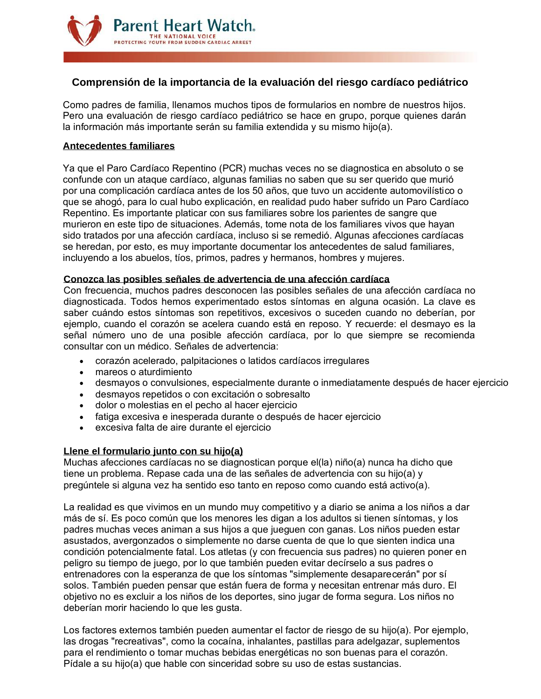

# **Comprensión de la importancia de la evaluación del riesgo cardíaco pediátrico**

Como padres de familia, llenamos muchos tipos de formularios en nombre de nuestros hijos. Pero una evaluación de riesgo cardíaco pediátrico se hace en grupo, porque quienes darán la información más importante serán su familia extendida y su mismo hijo(a).

#### **Antecedentes familiares**

Ya que el Paro Cardíaco Repentino (PCR) muchas veces no se diagnostica en absoluto o se confunde con un ataque cardíaco, algunas familias no saben que su ser querido que murió por una complicación cardíaca antes de los 50 años, que tuvo un accidente automovilístico o que se ahogó, para lo cual hubo explicación, en realidad pudo haber sufrido un Paro Cardíaco Repentino. Es importante platicar con sus familiares sobre los parientes de sangre que murieron en este tipo de situaciones. Además, tome nota de los familiares vivos que hayan sido tratados por una afección cardíaca, incluso si se remedió. Algunas afecciones cardíacas se heredan, por esto, es muy importante documentar los antecedentes de salud familiares, incluyendo a los abuelos, tíos, primos, padres y hermanos, hombres y mujeres.

#### **Conozca las posibles señales de advertencia de una afección cardíaca**

Con frecuencia, muchos padres desconocen las posibles señales de una afección cardíaca no diagnosticada. Todos hemos experimentado estos síntomas en alguna ocasión. La clave es saber cuándo estos síntomas son repetitivos, excesivos o suceden cuando no deberían, por ejemplo, cuando el corazón se acelera cuando está en reposo. Y recuerde: el desmayo es la señal número uno de una posible afección cardíaca, por lo que siempre se recomienda consultar con un médico. Señales de advertencia:

- corazón acelerado, palpitaciones o latidos cardíacos irregulares
- mareos o aturdimiento
- desmayos o convulsiones, especialmente durante o inmediatamente después de hacer ejercicio
- desmayos repetidos o con excitación o sobresalto
- dolor o molestias en el pecho al hacer ejercicio
- fatiga excesiva e inesperada durante o después de hacer ejercicio
- excesiva falta de aire durante el ejercicio

#### **Llene el formulario junto con su hijo(a)**

Muchas afecciones cardíacas no se diagnostican porque el(la) niño(a) nunca ha dicho que tiene un problema. Repase cada una de las señales de advertencia con su hijo(a) y pregúntele si alguna vez ha sentido eso tanto en reposo como cuando está activo(a).

La realidad es que vivimos en un mundo muy competitivo y a diario se anima a los niños a dar más de sí. Es poco común que los menores les digan a los adultos si tienen síntomas, y los padres muchas veces animan a sus hijos a que jueguen con ganas. Los niños pueden estar asustados, avergonzados o simplemente no darse cuenta de que lo que sienten indica una condición potencialmente fatal. Los atletas (y con frecuencia sus padres) no quieren poner en peligro su tiempo de juego, por lo que también pueden evitar decírselo a sus padres o entrenadores con la esperanza de que los síntomas "simplemente desaparecerán" por sí solos. También pueden pensar que están fuera de forma y necesitan entrenar más duro. El objetivo no es excluir a los niños de los deportes, sino jugar de forma segura. Los niños no deberían morir haciendo lo que les gusta.

Los factores externos también pueden aumentar el factor de riesgo de su hijo(a). Por ejemplo, las drogas "recreativas", como la cocaína, inhalantes, pastillas para adelgazar, suplementos para el rendimiento o tomar muchas bebidas energéticas no son buenas para el corazón. Pídale a su hijo(a) que hable con sinceridad sobre su uso de estas sustancias.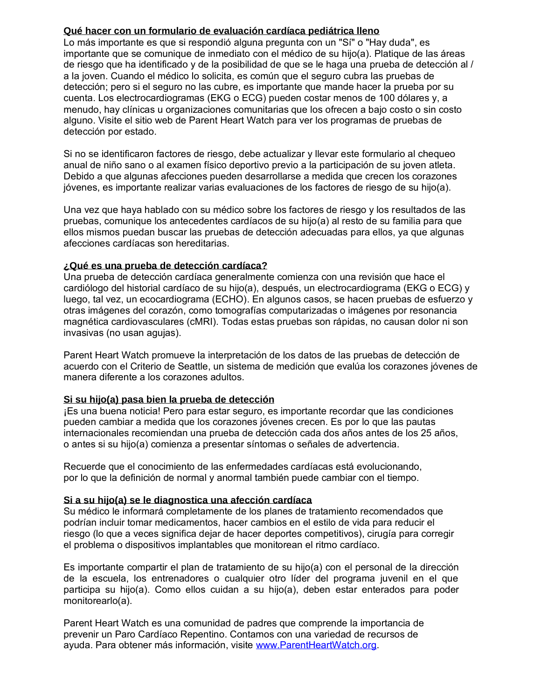## **Qué hacer con un formulario de evaluación cardíaca pediátrica lleno**

Lo más importante es que si respondió alguna pregunta con un "Sí" o "Hay duda", es importante que se comunique de inmediato con el médico de su hijo(a). Platique de las áreas de riesgo que ha identificado y de la posibilidad de que se le haga una prueba de detección al / a la joven. Cuando el médico lo solicita, es común que el seguro cubra las pruebas de detección; pero si el seguro no las cubre, es importante que mande hacer la prueba por su cuenta. Los electrocardiogramas (EKG o ECG) pueden costar menos de 100 dólares y, a menudo, hay clínicas u organizaciones comunitarias que los ofrecen a bajo costo o sin costo alguno. Visite el sitio web de Parent Heart Watch para ver los programas de pruebas de detección por estado.

Si no se identificaron factores de riesgo, debe actualizar y llevar este formulario al chequeo anual de niño sano o al examen físico deportivo previo a la participación de su joven atleta. Debido a que algunas afecciones pueden desarrollarse a medida que crecen los corazones jóvenes, es importante realizar varias evaluaciones de los factores de riesgo de su hijo(a).

Una vez que haya hablado con su médico sobre los factores de riesgo y los resultados de las pruebas, comunique los antecedentes cardíacos de su hijo(a) al resto de su familia para que ellos mismos puedan buscar las pruebas de detección adecuadas para ellos, ya que algunas afecciones cardíacas son hereditarias.

#### **¿Qué es una prueba de detección cardíaca?**

Una prueba de detección cardíaca generalmente comienza con una revisión que hace el cardiólogo del historial cardíaco de su hijo(a), después, un electrocardiograma (EKG o ECG) y luego, tal vez, un ecocardiograma (ECHO). En algunos casos, se hacen pruebas de esfuerzo y otras imágenes del corazón, como tomografías computarizadas o imágenes por resonancia magnética cardiovasculares (cMRI). Todas estas pruebas son rápidas, no causan dolor ni son invasivas (no usan agujas).

Parent Heart Watch promueve la interpretación de los datos de las pruebas de detección de acuerdo con el Criterio de Seattle, un sistema de medición que evalúa los corazones jóvenes de manera diferente a los corazones adultos.

## **Si su hijo(a) pasa bien la prueba de detección**

¡Es una buena noticia! Pero para estar seguro, es importante recordar que las condiciones pueden cambiar a medida que los corazones jóvenes crecen. Es por lo que las pautas internacionales recomiendan una prueba de detección cada dos años antes de los 25 años, o antes si su hijo(a) comienza a presentar síntomas o señales de advertencia.

Recuerde que el conocimiento de las enfermedades cardíacas está evolucionando, por lo que la definición de normal y anormal también puede cambiar con el tiempo.

#### **Si a su hijo(a) se le diagnostica una afección cardíaca**

Su médico le informará completamente de los planes de tratamiento recomendados que podrían incluir tomar medicamentos, hacer cambios en el estilo de vida para reducir el riesgo (lo que a veces significa dejar de hacer deportes competitivos), cirugía para corregir el problema o dispositivos implantables que monitorean el ritmo cardíaco.

Es importante compartir el plan de tratamiento de su hijo(a) con el personal de la dirección de la escuela, los entrenadores o cualquier otro líder del programa juvenil en el que participa su hijo(a). Como ellos cuidan a su hijo(a), deben estar enterados para poder monitorearlo(a).

Parent Heart Watch es una comunidad de padres que comprende la importancia de prevenir un Paro Cardíaco Repentino. Contamos con una variedad de recursos de ayuda. Para obtener más información, visite [www.ParentHeartWatch.org.](http://www.parentheartwatch.org/)